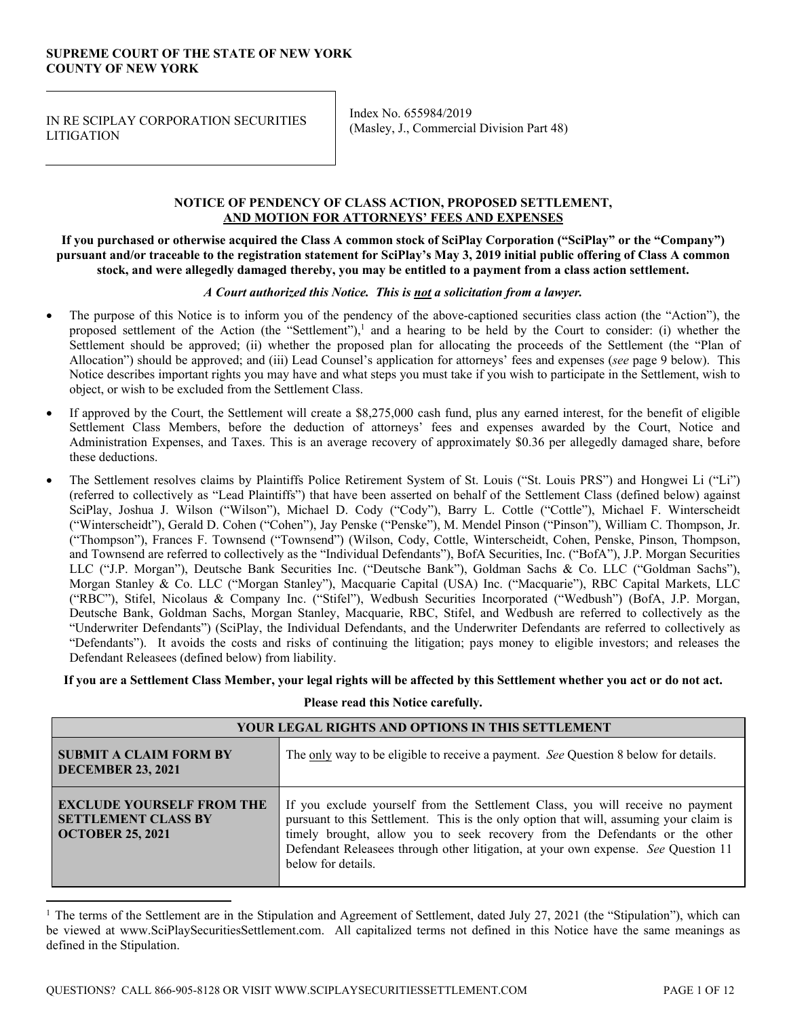# **SUPREME COURT OF THE STATE OF NEW YORK COUNTY OF NEW YORK**

IN RE SCIPLAY CORPORATION SECURITIES **LITIGATION** 

Index No. 655984/2019 (Masley, J., Commercial Division Part 48)

# **NOTICE OF PENDENCY OF CLASS ACTION, PROPOSED SETTLEMENT, AND MOTION FOR ATTORNEYS' FEES AND EXPENSES**

**If you purchased or otherwise acquired the Class A common stock of SciPlay Corporation ("SciPlay" or the "Company") pursuant and/or traceable to the registration statement for SciPlay's May 3, 2019 initial public offering of Class A common stock, and were allegedly damaged thereby, you may be entitled to a payment from a class action settlement.** 

# *A Court authorized this Notice. This is not a solicitation from a lawyer.*

- The purpose of this Notice is to inform you of the pendency of the above-captioned securities class action (the "Action"), the proposed settlement of the Action (the "Settlement"), $\frac{1}{2}$  and a hearing to be held by the Court to consider: (i) whether the Settlement should be approved; (ii) whether the proposed plan for allocating the proceeds of the Settlement (the "Plan of Allocation") should be approved; and (iii) Lead Counsel's application for attorneys' fees and expenses (*see* page 9 below). This Notice describes important rights you may have and what steps you must take if you wish to participate in the Settlement, wish to object, or wish to be excluded from the Settlement Class.
- If approved by the Court, the Settlement will create a \$8,275,000 cash fund, plus any earned interest, for the benefit of eligible Settlement Class Members, before the deduction of attorneys' fees and expenses awarded by the Court, Notice and Administration Expenses, and Taxes. This is an average recovery of approximately \$0.36 per allegedly damaged share, before these deductions.
- The Settlement resolves claims by Plaintiffs Police Retirement System of St. Louis ("St. Louis PRS") and Hongwei Li ("Li") (referred to collectively as "Lead Plaintiffs") that have been asserted on behalf of the Settlement Class (defined below) against SciPlay, Joshua J. Wilson ("Wilson"), Michael D. Cody ("Cody"), Barry L. Cottle ("Cottle"), Michael F. Winterscheidt ("Winterscheidt"), Gerald D. Cohen ("Cohen"), Jay Penske ("Penske"), M. Mendel Pinson ("Pinson"), William C. Thompson, Jr. ("Thompson"), Frances F. Townsend ("Townsend") (Wilson, Cody, Cottle, Winterscheidt, Cohen, Penske, Pinson, Thompson, and Townsend are referred to collectively as the "Individual Defendants"), BofA Securities, Inc. ("BofA"), J.P. Morgan Securities LLC ("J.P. Morgan"), Deutsche Bank Securities Inc. ("Deutsche Bank"), Goldman Sachs & Co. LLC ("Goldman Sachs"), Morgan Stanley & Co. LLC ("Morgan Stanley"), Macquarie Capital (USA) Inc. ("Macquarie"), RBC Capital Markets, LLC ("RBC"), Stifel, Nicolaus & Company Inc. ("Stifel"), Wedbush Securities Incorporated ("Wedbush") (BofA, J.P. Morgan, Deutsche Bank, Goldman Sachs, Morgan Stanley, Macquarie, RBC, Stifel, and Wedbush are referred to collectively as the "Underwriter Defendants") (SciPlay, the Individual Defendants, and the Underwriter Defendants are referred to collectively as "Defendants"). It avoids the costs and risks of continuing the litigation; pays money to eligible investors; and releases the Defendant Releasees (defined below) from liability.

**If you are a Settlement Class Member, your legal rights will be affected by this Settlement whether you act or do not act.** 

**Please read this Notice carefully.**

| <b>YOUR LEGAL RIGHTS AND OPTIONS IN THIS SETTLEMENT</b>                                   |                                                                                                                                                                                                                                                                                                                                                                     |
|-------------------------------------------------------------------------------------------|---------------------------------------------------------------------------------------------------------------------------------------------------------------------------------------------------------------------------------------------------------------------------------------------------------------------------------------------------------------------|
| <b>SUBMIT A CLAIM FORM BY</b><br><b>DECEMBER 23, 2021</b>                                 | The only way to be eligible to receive a payment. See Question 8 below for details.                                                                                                                                                                                                                                                                                 |
| <b>EXCLUDE YOURSELF FROM THE</b><br><b>SETTLEMENT CLASS BY</b><br><b>OCTOBER 25, 2021</b> | If you exclude yourself from the Settlement Class, you will receive no payment<br>pursuant to this Settlement. This is the only option that will, assuming your claim is<br>timely brought, allow you to seek recovery from the Defendants or the other<br>Defendant Releasees through other litigation, at your own expense. See Question 11<br>below for details. |

<sup>&</sup>lt;sup>1</sup> The terms of the Settlement are in the Stipulation and Agreement of Settlement, dated July 27, 2021 (the "Stipulation"), which can be viewed at www.SciPlaySecuritiesSettlement.com. All capitalized terms not defined in this Notice have the same meanings as defined in the Stipulation.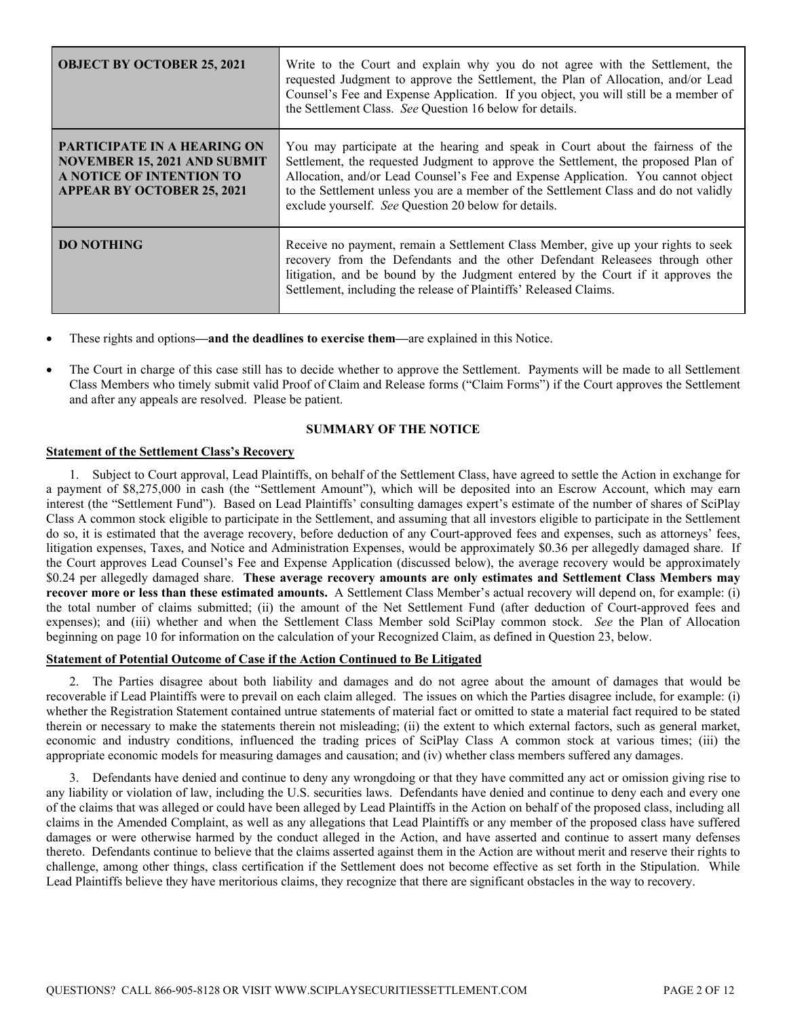| <b>OBJECT BY OCTOBER 25, 2021</b>                                                                                                   | Write to the Court and explain why you do not agree with the Settlement, the<br>requested Judgment to approve the Settlement, the Plan of Allocation, and/or Lead<br>Counsel's Fee and Expense Application. If you object, you will still be a member of<br>the Settlement Class. See Question 16 below for details.                                                                                      |
|-------------------------------------------------------------------------------------------------------------------------------------|-----------------------------------------------------------------------------------------------------------------------------------------------------------------------------------------------------------------------------------------------------------------------------------------------------------------------------------------------------------------------------------------------------------|
| PARTICIPATE IN A HEARING ON<br><b>NOVEMBER 15, 2021 AND SUBMIT</b><br>A NOTICE OF INTENTION TO<br><b>APPEAR BY OCTOBER 25, 2021</b> | You may participate at the hearing and speak in Court about the fairness of the<br>Settlement, the requested Judgment to approve the Settlement, the proposed Plan of<br>Allocation, and/or Lead Counsel's Fee and Expense Application. You cannot object<br>to the Settlement unless you are a member of the Settlement Class and do not validly<br>exclude yourself. See Question 20 below for details. |
| <b>DO NOTHING</b>                                                                                                                   | Receive no payment, remain a Settlement Class Member, give up your rights to seek<br>recovery from the Defendants and the other Defendant Releasees through other<br>litigation, and be bound by the Judgment entered by the Court if it approves the<br>Settlement, including the release of Plaintiffs' Released Claims.                                                                                |

These rights and options**—and the deadlines to exercise them—**are explained in this Notice.

 The Court in charge of this case still has to decide whether to approve the Settlement. Payments will be made to all Settlement Class Members who timely submit valid Proof of Claim and Release forms ("Claim Forms") if the Court approves the Settlement and after any appeals are resolved. Please be patient.

# **SUMMARY OF THE NOTICE**

# **Statement of the Settlement Class's Recovery**

1. Subject to Court approval, Lead Plaintiffs, on behalf of the Settlement Class, have agreed to settle the Action in exchange for a payment of \$8,275,000 in cash (the "Settlement Amount"), which will be deposited into an Escrow Account, which may earn interest (the "Settlement Fund"). Based on Lead Plaintiffs' consulting damages expert's estimate of the number of shares of SciPlay Class A common stock eligible to participate in the Settlement, and assuming that all investors eligible to participate in the Settlement do so, it is estimated that the average recovery, before deduction of any Court-approved fees and expenses, such as attorneys' fees, litigation expenses, Taxes, and Notice and Administration Expenses, would be approximately \$0.36 per allegedly damaged share. If the Court approves Lead Counsel's Fee and Expense Application (discussed below), the average recovery would be approximately \$0.24 per allegedly damaged share. **These average recovery amounts are only estimates and Settlement Class Members may recover more or less than these estimated amounts.** A Settlement Class Member's actual recovery will depend on, for example: (i) the total number of claims submitted; (ii) the amount of the Net Settlement Fund (after deduction of Court-approved fees and expenses); and (iii) whether and when the Settlement Class Member sold SciPlay common stock. *See* the Plan of Allocation beginning on page 10 for information on the calculation of your Recognized Claim, as defined in Question 23, below.

# **Statement of Potential Outcome of Case if the Action Continued to Be Litigated**

2. The Parties disagree about both liability and damages and do not agree about the amount of damages that would be recoverable if Lead Plaintiffs were to prevail on each claim alleged. The issues on which the Parties disagree include, for example: (i) whether the Registration Statement contained untrue statements of material fact or omitted to state a material fact required to be stated therein or necessary to make the statements therein not misleading; (ii) the extent to which external factors, such as general market, economic and industry conditions, influenced the trading prices of SciPlay Class A common stock at various times; (iii) the appropriate economic models for measuring damages and causation; and (iv) whether class members suffered any damages.

3. Defendants have denied and continue to deny any wrongdoing or that they have committed any act or omission giving rise to any liability or violation of law, including the U.S. securities laws. Defendants have denied and continue to deny each and every one of the claims that was alleged or could have been alleged by Lead Plaintiffs in the Action on behalf of the proposed class, including all claims in the Amended Complaint, as well as any allegations that Lead Plaintiffs or any member of the proposed class have suffered damages or were otherwise harmed by the conduct alleged in the Action, and have asserted and continue to assert many defenses thereto. Defendants continue to believe that the claims asserted against them in the Action are without merit and reserve their rights to challenge, among other things, class certification if the Settlement does not become effective as set forth in the Stipulation. While Lead Plaintiffs believe they have meritorious claims, they recognize that there are significant obstacles in the way to recovery.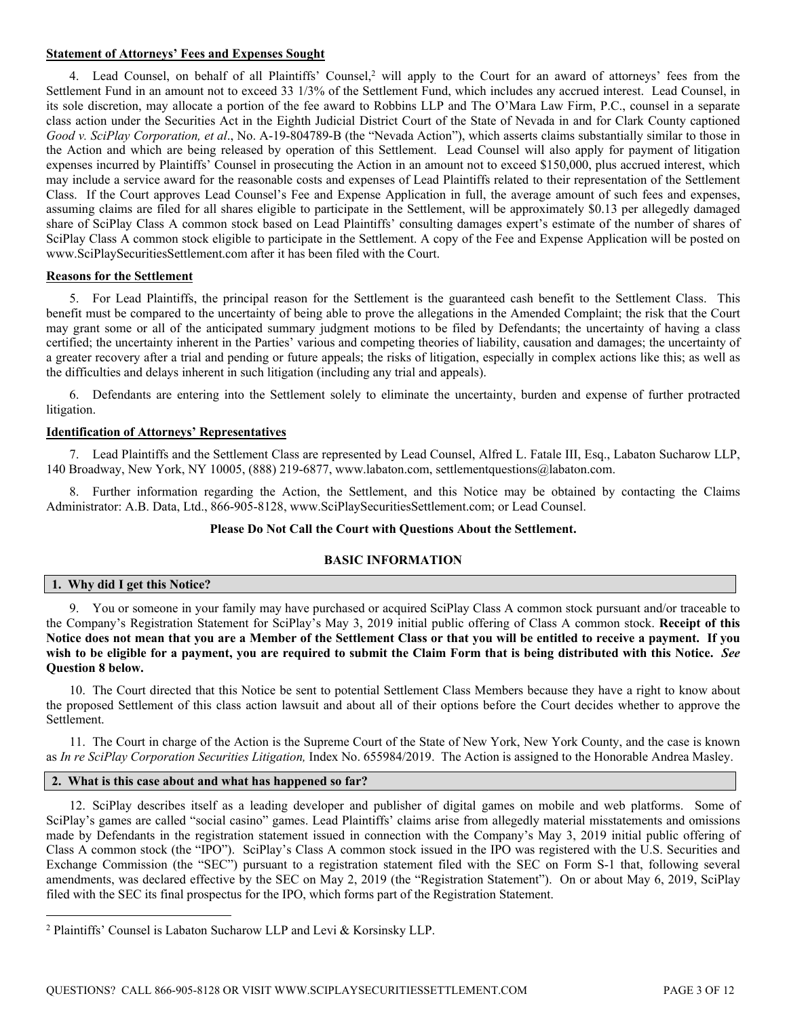# **Statement of Attorneys' Fees and Expenses Sought**

4. Lead Counsel, on behalf of all Plaintiffs' Counsel,<sup>2</sup> will apply to the Court for an award of attorneys' fees from the Settlement Fund in an amount not to exceed 33 1/3% of the Settlement Fund, which includes any accrued interest. Lead Counsel, in its sole discretion, may allocate a portion of the fee award to Robbins LLP and The O'Mara Law Firm, P.C., counsel in a separate class action under the Securities Act in the Eighth Judicial District Court of the State of Nevada in and for Clark County captioned *Good v. SciPlay Corporation, et al*., No. A-19-804789-B (the "Nevada Action"), which asserts claims substantially similar to those in the Action and which are being released by operation of this Settlement. Lead Counsel will also apply for payment of litigation expenses incurred by Plaintiffs' Counsel in prosecuting the Action in an amount not to exceed \$150,000, plus accrued interest, which may include a service award for the reasonable costs and expenses of Lead Plaintiffs related to their representation of the Settlement Class. If the Court approves Lead Counsel's Fee and Expense Application in full, the average amount of such fees and expenses, assuming claims are filed for all shares eligible to participate in the Settlement, will be approximately \$0.13 per allegedly damaged share of SciPlay Class A common stock based on Lead Plaintiffs' consulting damages expert's estimate of the number of shares of SciPlay Class A common stock eligible to participate in the Settlement. A copy of the Fee and Expense Application will be posted on www.SciPlaySecuritiesSettlement.com after it has been filed with the Court.

# **Reasons for the Settlement**

5. For Lead Plaintiffs, the principal reason for the Settlement is the guaranteed cash benefit to the Settlement Class. This benefit must be compared to the uncertainty of being able to prove the allegations in the Amended Complaint; the risk that the Court may grant some or all of the anticipated summary judgment motions to be filed by Defendants; the uncertainty of having a class certified; the uncertainty inherent in the Parties' various and competing theories of liability, causation and damages; the uncertainty of a greater recovery after a trial and pending or future appeals; the risks of litigation, especially in complex actions like this; as well as the difficulties and delays inherent in such litigation (including any trial and appeals).

6. Defendants are entering into the Settlement solely to eliminate the uncertainty, burden and expense of further protracted litigation.

# **Identification of Attorneys' Representatives**

7. Lead Plaintiffs and the Settlement Class are represented by Lead Counsel, Alfred L. Fatale III, Esq., Labaton Sucharow LLP, 140 Broadway, New York, NY 10005, (888) 219-6877, www.labaton.com, settlementquestions@labaton.com.

8. Further information regarding the Action, the Settlement, and this Notice may be obtained by contacting the Claims Administrator: A.B. Data, Ltd., 866-905-8128, www.SciPlaySecuritiesSettlement.com; or Lead Counsel.

#### **Please Do Not Call the Court with Questions About the Settlement.**

#### **BASIC INFORMATION**

## **1. Why did I get this Notice?**

9. You or someone in your family may have purchased or acquired SciPlay Class A common stock pursuant and/or traceable to the Company's Registration Statement for SciPlay's May 3, 2019 initial public offering of Class A common stock. **Receipt of this Notice does not mean that you are a Member of the Settlement Class or that you will be entitled to receive a payment. If you wish to be eligible for a payment, you are required to submit the Claim Form that is being distributed with this Notice.** *See* **Question 8 below.**

10. The Court directed that this Notice be sent to potential Settlement Class Members because they have a right to know about the proposed Settlement of this class action lawsuit and about all of their options before the Court decides whether to approve the Settlement.

11. The Court in charge of the Action is the Supreme Court of the State of New York, New York County, and the case is known as *In re SciPlay Corporation Securities Litigation,* Index No. 655984/2019. The Action is assigned to the Honorable Andrea Masley.

# **2. What is this case about and what has happened so far?**

12. SciPlay describes itself as a leading developer and publisher of digital games on mobile and web platforms. Some of SciPlay's games are called "social casino" games. Lead Plaintiffs' claims arise from allegedly material misstatements and omissions made by Defendants in the registration statement issued in connection with the Company's May 3, 2019 initial public offering of Class A common stock (the "IPO"). SciPlay's Class A common stock issued in the IPO was registered with the U.S. Securities and Exchange Commission (the "SEC") pursuant to a registration statement filed with the SEC on Form S-1 that, following several amendments, was declared effective by the SEC on May 2, 2019 (the "Registration Statement"). On or about May 6, 2019, SciPlay filed with the SEC its final prospectus for the IPO, which forms part of the Registration Statement.

<sup>&</sup>lt;sup>2</sup> Plaintiffs' Counsel is Labaton Sucharow LLP and Levi & Korsinsky LLP.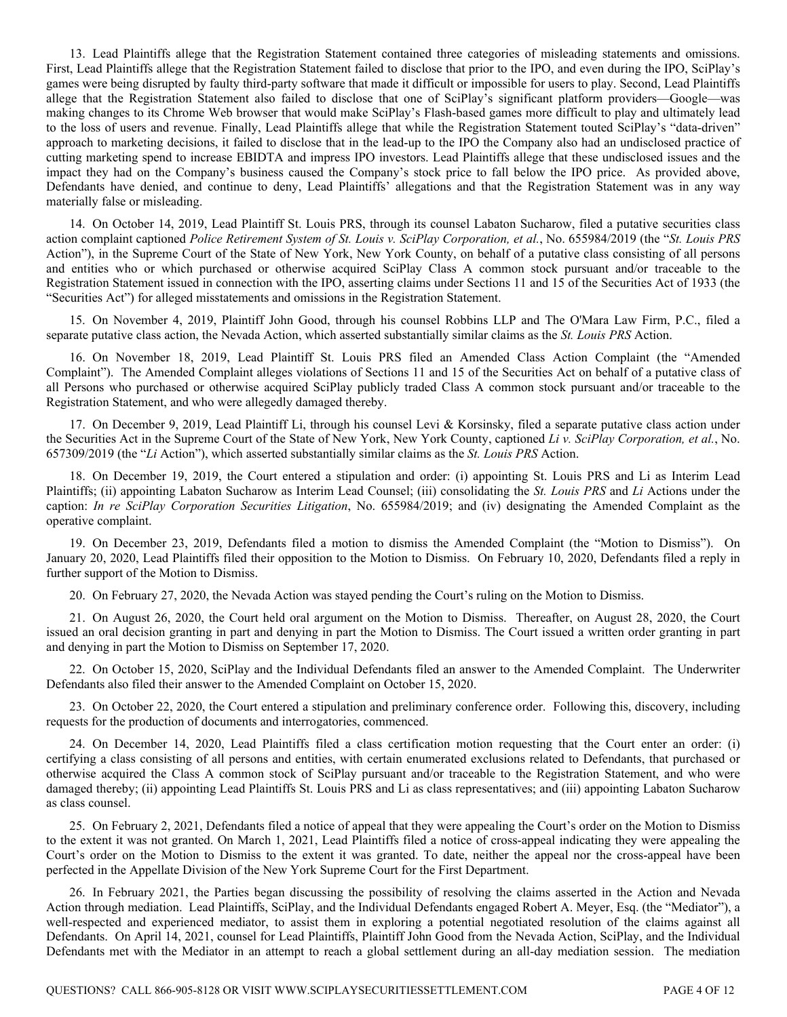13. Lead Plaintiffs allege that the Registration Statement contained three categories of misleading statements and omissions. First, Lead Plaintiffs allege that the Registration Statement failed to disclose that prior to the IPO, and even during the IPO, SciPlay's games were being disrupted by faulty third-party software that made it difficult or impossible for users to play. Second, Lead Plaintiffs allege that the Registration Statement also failed to disclose that one of SciPlay's significant platform providers—Google—was making changes to its Chrome Web browser that would make SciPlay's Flash-based games more difficult to play and ultimately lead to the loss of users and revenue. Finally, Lead Plaintiffs allege that while the Registration Statement touted SciPlay's "data-driven" approach to marketing decisions, it failed to disclose that in the lead-up to the IPO the Company also had an undisclosed practice of cutting marketing spend to increase EBIDTA and impress IPO investors. Lead Plaintiffs allege that these undisclosed issues and the impact they had on the Company's business caused the Company's stock price to fall below the IPO price. As provided above, Defendants have denied, and continue to deny, Lead Plaintiffs' allegations and that the Registration Statement was in any way materially false or misleading.

14. On October 14, 2019, Lead Plaintiff St. Louis PRS, through its counsel Labaton Sucharow, filed a putative securities class action complaint captioned *Police Retirement System of St. Louis v. SciPlay Corporation, et al.*, No. 655984/2019 (the "*St. Louis PRS* Action"), in the Supreme Court of the State of New York, New York County, on behalf of a putative class consisting of all persons and entities who or which purchased or otherwise acquired SciPlay Class A common stock pursuant and/or traceable to the Registration Statement issued in connection with the IPO, asserting claims under Sections 11 and 15 of the Securities Act of 1933 (the "Securities Act") for alleged misstatements and omissions in the Registration Statement.

15. On November 4, 2019, Plaintiff John Good, through his counsel Robbins LLP and The O'Mara Law Firm, P.C., filed a separate putative class action, the Nevada Action, which asserted substantially similar claims as the *St. Louis PRS* Action.

16. On November 18, 2019, Lead Plaintiff St. Louis PRS filed an Amended Class Action Complaint (the "Amended Complaint"). The Amended Complaint alleges violations of Sections 11 and 15 of the Securities Act on behalf of a putative class of all Persons who purchased or otherwise acquired SciPlay publicly traded Class A common stock pursuant and/or traceable to the Registration Statement, and who were allegedly damaged thereby.

17. On December 9, 2019, Lead Plaintiff Li, through his counsel Levi & Korsinsky, filed a separate putative class action under the Securities Act in the Supreme Court of the State of New York, New York County, captioned *Li v. SciPlay Corporation, et al.*, No. 657309/2019 (the "*Li* Action"), which asserted substantially similar claims as the *St. Louis PRS* Action.

18. On December 19, 2019, the Court entered a stipulation and order: (i) appointing St. Louis PRS and Li as Interim Lead Plaintiffs; (ii) appointing Labaton Sucharow as Interim Lead Counsel; (iii) consolidating the *St. Louis PRS* and *Li* Actions under the caption: *In re SciPlay Corporation Securities Litigation*, No. 655984/2019; and (iv) designating the Amended Complaint as the operative complaint.

19. On December 23, 2019, Defendants filed a motion to dismiss the Amended Complaint (the "Motion to Dismiss"). On January 20, 2020, Lead Plaintiffs filed their opposition to the Motion to Dismiss. On February 10, 2020, Defendants filed a reply in further support of the Motion to Dismiss.

20. On February 27, 2020, the Nevada Action was stayed pending the Court's ruling on the Motion to Dismiss.

21. On August 26, 2020, the Court held oral argument on the Motion to Dismiss. Thereafter, on August 28, 2020, the Court issued an oral decision granting in part and denying in part the Motion to Dismiss. The Court issued a written order granting in part and denying in part the Motion to Dismiss on September 17, 2020.

22. On October 15, 2020, SciPlay and the Individual Defendants filed an answer to the Amended Complaint. The Underwriter Defendants also filed their answer to the Amended Complaint on October 15, 2020.

23. On October 22, 2020, the Court entered a stipulation and preliminary conference order. Following this, discovery, including requests for the production of documents and interrogatories, commenced.

24. On December 14, 2020, Lead Plaintiffs filed a class certification motion requesting that the Court enter an order: (i) certifying a class consisting of all persons and entities, with certain enumerated exclusions related to Defendants, that purchased or otherwise acquired the Class A common stock of SciPlay pursuant and/or traceable to the Registration Statement, and who were damaged thereby; (ii) appointing Lead Plaintiffs St. Louis PRS and Li as class representatives; and (iii) appointing Labaton Sucharow as class counsel.

25. On February 2, 2021, Defendants filed a notice of appeal that they were appealing the Court's order on the Motion to Dismiss to the extent it was not granted. On March 1, 2021, Lead Plaintiffs filed a notice of cross-appeal indicating they were appealing the Court's order on the Motion to Dismiss to the extent it was granted. To date, neither the appeal nor the cross-appeal have been perfected in the Appellate Division of the New York Supreme Court for the First Department.

26. In February 2021, the Parties began discussing the possibility of resolving the claims asserted in the Action and Nevada Action through mediation. Lead Plaintiffs, SciPlay, and the Individual Defendants engaged Robert A. Meyer, Esq. (the "Mediator"), a well-respected and experienced mediator, to assist them in exploring a potential negotiated resolution of the claims against all Defendants. On April 14, 2021, counsel for Lead Plaintiffs, Plaintiff John Good from the Nevada Action, SciPlay, and the Individual Defendants met with the Mediator in an attempt to reach a global settlement during an all-day mediation session. The mediation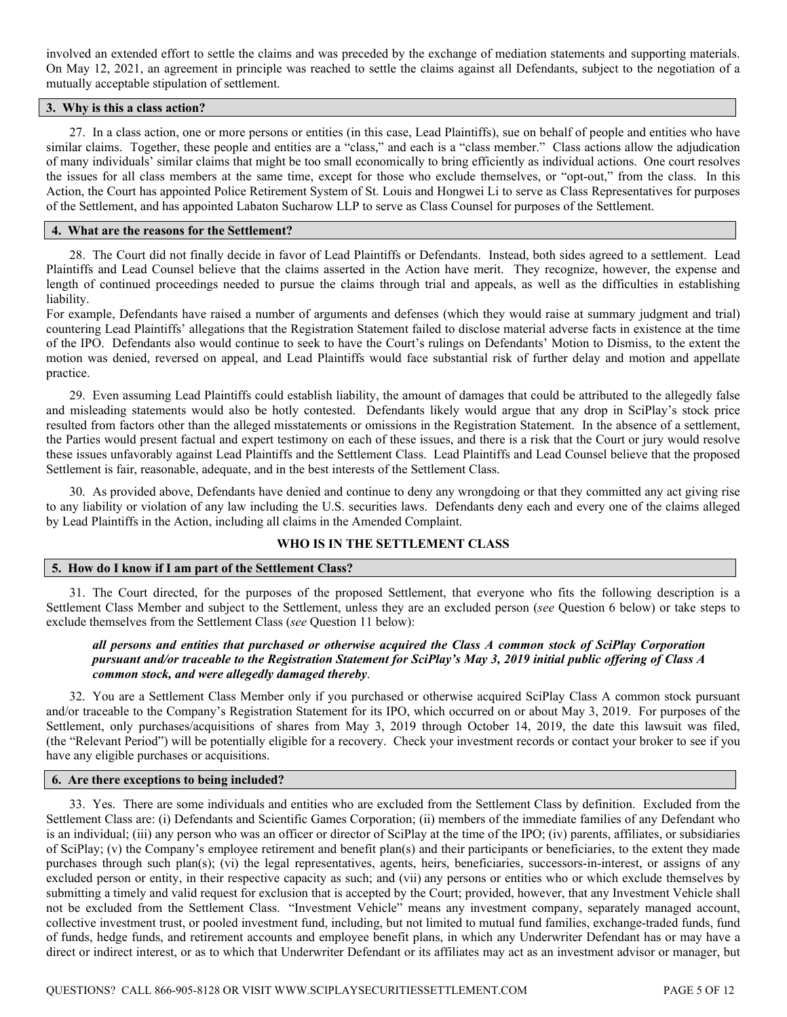involved an extended effort to settle the claims and was preceded by the exchange of mediation statements and supporting materials. On May 12, 2021, an agreement in principle was reached to settle the claims against all Defendants, subject to the negotiation of a mutually acceptable stipulation of settlement.

# **3. Why is this a class action?**

27. In a class action, one or more persons or entities (in this case, Lead Plaintiffs), sue on behalf of people and entities who have similar claims. Together, these people and entities are a "class," and each is a "class member." Class actions allow the adjudication of many individuals' similar claims that might be too small economically to bring efficiently as individual actions. One court resolves the issues for all class members at the same time, except for those who exclude themselves, or "opt-out," from the class. In this Action, the Court has appointed Police Retirement System of St. Louis and Hongwei Li to serve as Class Representatives for purposes of the Settlement, and has appointed Labaton Sucharow LLP to serve as Class Counsel for purposes of the Settlement.

#### **4. What are the reasons for the Settlement?**

28. The Court did not finally decide in favor of Lead Plaintiffs or Defendants. Instead, both sides agreed to a settlement. Lead Plaintiffs and Lead Counsel believe that the claims asserted in the Action have merit. They recognize, however, the expense and length of continued proceedings needed to pursue the claims through trial and appeals, as well as the difficulties in establishing liability.

For example, Defendants have raised a number of arguments and defenses (which they would raise at summary judgment and trial) countering Lead Plaintiffs' allegations that the Registration Statement failed to disclose material adverse facts in existence at the time of the IPO. Defendants also would continue to seek to have the Court's rulings on Defendants' Motion to Dismiss, to the extent the motion was denied, reversed on appeal, and Lead Plaintiffs would face substantial risk of further delay and motion and appellate practice.

29. Even assuming Lead Plaintiffs could establish liability, the amount of damages that could be attributed to the allegedly false and misleading statements would also be hotly contested. Defendants likely would argue that any drop in SciPlay's stock price resulted from factors other than the alleged misstatements or omissions in the Registration Statement. In the absence of a settlement, the Parties would present factual and expert testimony on each of these issues, and there is a risk that the Court or jury would resolve these issues unfavorably against Lead Plaintiffs and the Settlement Class. Lead Plaintiffs and Lead Counsel believe that the proposed Settlement is fair, reasonable, adequate, and in the best interests of the Settlement Class.

30. As provided above, Defendants have denied and continue to deny any wrongdoing or that they committed any act giving rise to any liability or violation of any law including the U.S. securities laws. Defendants deny each and every one of the claims alleged by Lead Plaintiffs in the Action, including all claims in the Amended Complaint.

# **WHO IS IN THE SETTLEMENT CLASS**

# **5. How do I know if I am part of the Settlement Class?**

31. The Court directed, for the purposes of the proposed Settlement, that everyone who fits the following description is a Settlement Class Member and subject to the Settlement, unless they are an excluded person (*see* Question 6 below) or take steps to exclude themselves from the Settlement Class (*see* Question 11 below):

# *all persons and entities that purchased or otherwise acquired the Class A common stock of SciPlay Corporation pursuant and/or traceable to the Registration Statement for SciPlay's May 3, 2019 initial public offering of Class A common stock, and were allegedly damaged thereby*.

32. You are a Settlement Class Member only if you purchased or otherwise acquired SciPlay Class A common stock pursuant and/or traceable to the Company's Registration Statement for its IPO, which occurred on or about May 3, 2019. For purposes of the Settlement, only purchases/acquisitions of shares from May 3, 2019 through October 14, 2019, the date this lawsuit was filed, (the "Relevant Period") will be potentially eligible for a recovery. Check your investment records or contact your broker to see if you have any eligible purchases or acquisitions.

#### **6. Are there exceptions to being included?**

33. Yes. There are some individuals and entities who are excluded from the Settlement Class by definition. Excluded from the Settlement Class are: (i) Defendants and Scientific Games Corporation; (ii) members of the immediate families of any Defendant who is an individual; (iii) any person who was an officer or director of SciPlay at the time of the IPO; (iv) parents, affiliates, or subsidiaries of SciPlay; (v) the Company's employee retirement and benefit plan(s) and their participants or beneficiaries, to the extent they made purchases through such plan(s); (vi) the legal representatives, agents, heirs, beneficiaries, successors-in-interest, or assigns of any excluded person or entity, in their respective capacity as such; and (vii) any persons or entities who or which exclude themselves by submitting a timely and valid request for exclusion that is accepted by the Court; provided, however, that any Investment Vehicle shall not be excluded from the Settlement Class. "Investment Vehicle" means any investment company, separately managed account, collective investment trust, or pooled investment fund, including, but not limited to mutual fund families, exchange-traded funds, fund of funds, hedge funds, and retirement accounts and employee benefit plans, in which any Underwriter Defendant has or may have a direct or indirect interest, or as to which that Underwriter Defendant or its affiliates may act as an investment advisor or manager, but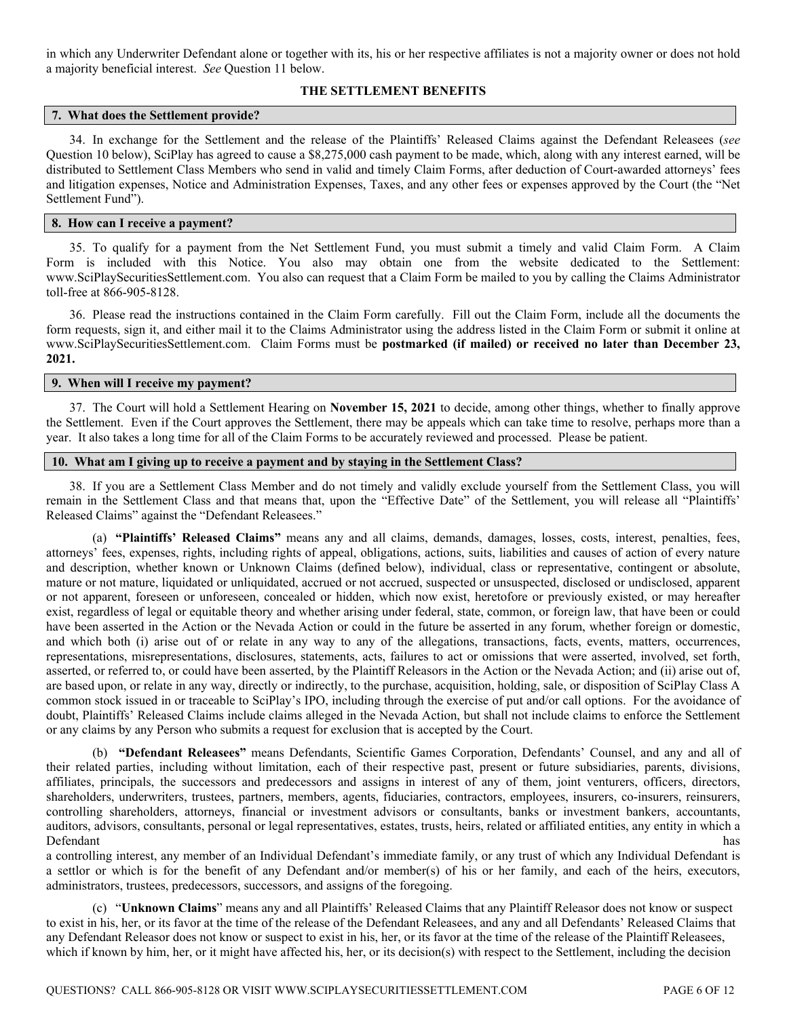in which any Underwriter Defendant alone or together with its, his or her respective affiliates is not a majority owner or does not hold a majority beneficial interest. *See* Question 11 below.

## **THE SETTLEMENT BENEFITS**

## **7. What does the Settlement provide?**

34. In exchange for the Settlement and the release of the Plaintiffs' Released Claims against the Defendant Releasees (*see* Question 10 below), SciPlay has agreed to cause a \$8,275,000 cash payment to be made, which, along with any interest earned, will be distributed to Settlement Class Members who send in valid and timely Claim Forms, after deduction of Court-awarded attorneys' fees and litigation expenses, Notice and Administration Expenses, Taxes, and any other fees or expenses approved by the Court (the "Net Settlement Fund").

#### **8. How can I receive a payment?**

35. To qualify for a payment from the Net Settlement Fund, you must submit a timely and valid Claim Form. A Claim Form is included with this Notice. You also may obtain one from the website dedicated to the Settlement: www.SciPlaySecuritiesSettlement.com. You also can request that a Claim Form be mailed to you by calling the Claims Administrator toll-free at 866-905-8128.

36. Please read the instructions contained in the Claim Form carefully. Fill out the Claim Form, include all the documents the form requests, sign it, and either mail it to the Claims Administrator using the address listed in the Claim Form or submit it online at www.SciPlaySecuritiesSettlement.com. Claim Forms must be **postmarked (if mailed) or received no later than December 23, 2021.** 

#### **9. When will I receive my payment?**

37. The Court will hold a Settlement Hearing on **November 15, 2021** to decide, among other things, whether to finally approve the Settlement. Even if the Court approves the Settlement, there may be appeals which can take time to resolve, perhaps more than a year. It also takes a long time for all of the Claim Forms to be accurately reviewed and processed. Please be patient.

# **10. What am I giving up to receive a payment and by staying in the Settlement Class?**

38. If you are a Settlement Class Member and do not timely and validly exclude yourself from the Settlement Class, you will remain in the Settlement Class and that means that, upon the "Effective Date" of the Settlement, you will release all "Plaintiffs' Released Claims" against the "Defendant Releasees."

(a) **"Plaintiffs' Released Claims"** means any and all claims, demands, damages, losses, costs, interest, penalties, fees, attorneys' fees, expenses, rights, including rights of appeal, obligations, actions, suits, liabilities and causes of action of every nature and description, whether known or Unknown Claims (defined below), individual, class or representative, contingent or absolute, mature or not mature, liquidated or unliquidated, accrued or not accrued, suspected or unsuspected, disclosed or undisclosed, apparent or not apparent, foreseen or unforeseen, concealed or hidden, which now exist, heretofore or previously existed, or may hereafter exist, regardless of legal or equitable theory and whether arising under federal, state, common, or foreign law, that have been or could have been asserted in the Action or the Nevada Action or could in the future be asserted in any forum, whether foreign or domestic, and which both (i) arise out of or relate in any way to any of the allegations, transactions, facts, events, matters, occurrences, representations, misrepresentations, disclosures, statements, acts, failures to act or omissions that were asserted, involved, set forth, asserted, or referred to, or could have been asserted, by the Plaintiff Releasors in the Action or the Nevada Action; and (ii) arise out of, are based upon, or relate in any way, directly or indirectly, to the purchase, acquisition, holding, sale, or disposition of SciPlay Class A common stock issued in or traceable to SciPlay's IPO, including through the exercise of put and/or call options. For the avoidance of doubt, Plaintiffs' Released Claims include claims alleged in the Nevada Action, but shall not include claims to enforce the Settlement or any claims by any Person who submits a request for exclusion that is accepted by the Court.

(b) **"Defendant Releasees"** means Defendants, Scientific Games Corporation, Defendants' Counsel, and any and all of their related parties, including without limitation, each of their respective past, present or future subsidiaries, parents, divisions, affiliates, principals, the successors and predecessors and assigns in interest of any of them, joint venturers, officers, directors, shareholders, underwriters, trustees, partners, members, agents, fiduciaries, contractors, employees, insurers, co-insurers, reinsurers, controlling shareholders, attorneys, financial or investment advisors or consultants, banks or investment bankers, accountants, auditors, advisors, consultants, personal or legal representatives, estates, trusts, heirs, related or affiliated entities, any entity in which a Defendant has

a controlling interest, any member of an Individual Defendant's immediate family, or any trust of which any Individual Defendant is a settlor or which is for the benefit of any Defendant and/or member(s) of his or her family, and each of the heirs, executors, administrators, trustees, predecessors, successors, and assigns of the foregoing.

(c) "**Unknown Claims**" means any and all Plaintiffs' Released Claims that any Plaintiff Releasor does not know or suspect to exist in his, her, or its favor at the time of the release of the Defendant Releasees, and any and all Defendants' Released Claims that any Defendant Releasor does not know or suspect to exist in his, her, or its favor at the time of the release of the Plaintiff Releasees, which if known by him, her, or it might have affected his, her, or its decision(s) with respect to the Settlement, including the decision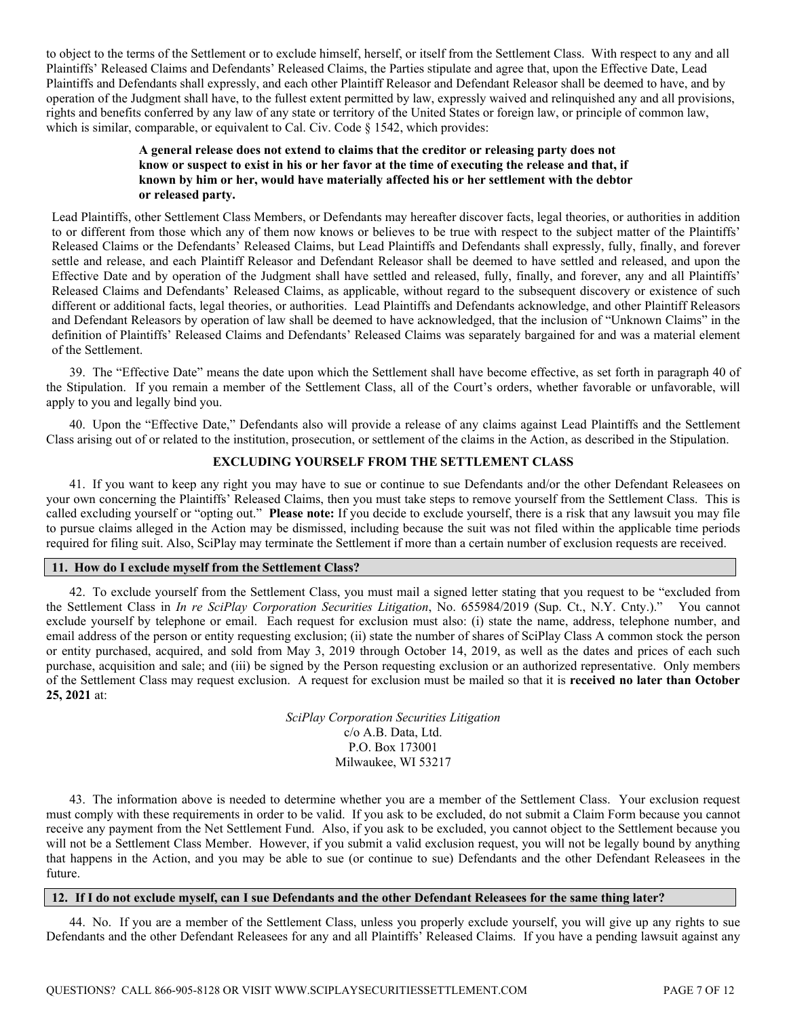to object to the terms of the Settlement or to exclude himself, herself, or itself from the Settlement Class. With respect to any and all Plaintiffs' Released Claims and Defendants' Released Claims, the Parties stipulate and agree that, upon the Effective Date, Lead Plaintiffs and Defendants shall expressly, and each other Plaintiff Releasor and Defendant Releasor shall be deemed to have, and by operation of the Judgment shall have, to the fullest extent permitted by law, expressly waived and relinquished any and all provisions, rights and benefits conferred by any law of any state or territory of the United States or foreign law, or principle of common law, which is similar, comparable, or equivalent to Cal. Civ. Code § 1542, which provides:

# **A general release does not extend to claims that the creditor or releasing party does not know or suspect to exist in his or her favor at the time of executing the release and that, if known by him or her, would have materially affected his or her settlement with the debtor or released party.**

Lead Plaintiffs, other Settlement Class Members, or Defendants may hereafter discover facts, legal theories, or authorities in addition to or different from those which any of them now knows or believes to be true with respect to the subject matter of the Plaintiffs' Released Claims or the Defendants' Released Claims, but Lead Plaintiffs and Defendants shall expressly, fully, finally, and forever settle and release, and each Plaintiff Releasor and Defendant Releasor shall be deemed to have settled and released, and upon the Effective Date and by operation of the Judgment shall have settled and released, fully, finally, and forever, any and all Plaintiffs' Released Claims and Defendants' Released Claims, as applicable, without regard to the subsequent discovery or existence of such different or additional facts, legal theories, or authorities. Lead Plaintiffs and Defendants acknowledge, and other Plaintiff Releasors and Defendant Releasors by operation of law shall be deemed to have acknowledged, that the inclusion of "Unknown Claims" in the definition of Plaintiffs' Released Claims and Defendants' Released Claims was separately bargained for and was a material element of the Settlement.

39. The "Effective Date" means the date upon which the Settlement shall have become effective, as set forth in paragraph 40 of the Stipulation. If you remain a member of the Settlement Class, all of the Court's orders, whether favorable or unfavorable, will apply to you and legally bind you.

40. Upon the "Effective Date," Defendants also will provide a release of any claims against Lead Plaintiffs and the Settlement Class arising out of or related to the institution, prosecution, or settlement of the claims in the Action, as described in the Stipulation.

# **EXCLUDING YOURSELF FROM THE SETTLEMENT CLASS**

41. If you want to keep any right you may have to sue or continue to sue Defendants and/or the other Defendant Releasees on your own concerning the Plaintiffs' Released Claims, then you must take steps to remove yourself from the Settlement Class. This is called excluding yourself or "opting out." **Please note:** If you decide to exclude yourself, there is a risk that any lawsuit you may file to pursue claims alleged in the Action may be dismissed, including because the suit was not filed within the applicable time periods required for filing suit. Also, SciPlay may terminate the Settlement if more than a certain number of exclusion requests are received.

# **11. How do I exclude myself from the Settlement Class?**

42. To exclude yourself from the Settlement Class, you must mail a signed letter stating that you request to be "excluded from the Settlement Class in *In re SciPlay Corporation Securities Litigation*, No. 655984/2019 (Sup. Ct., N.Y. Cnty.)." You cannot exclude yourself by telephone or email. Each request for exclusion must also: (i) state the name, address, telephone number, and email address of the person or entity requesting exclusion; (ii) state the number of shares of SciPlay Class A common stock the person or entity purchased, acquired, and sold from May 3, 2019 through October 14, 2019, as well as the dates and prices of each such purchase, acquisition and sale; and (iii) be signed by the Person requesting exclusion or an authorized representative. Only members of the Settlement Class may request exclusion. A request for exclusion must be mailed so that it is **received no later than October 25, 2021** at:

> *SciPlay Corporation Securities Litigation*  c/o A.B. Data, Ltd. P.O. Box 173001 Milwaukee, WI 53217

43. The information above is needed to determine whether you are a member of the Settlement Class. Your exclusion request must comply with these requirements in order to be valid. If you ask to be excluded, do not submit a Claim Form because you cannot receive any payment from the Net Settlement Fund. Also, if you ask to be excluded, you cannot object to the Settlement because you will not be a Settlement Class Member. However, if you submit a valid exclusion request, you will not be legally bound by anything that happens in the Action, and you may be able to sue (or continue to sue) Defendants and the other Defendant Releasees in the future.

# **12. If I do not exclude myself, can I sue Defendants and the other Defendant Releasees for the same thing later?**

44. No. If you are a member of the Settlement Class, unless you properly exclude yourself, you will give up any rights to sue Defendants and the other Defendant Releasees for any and all Plaintiffs' Released Claims. If you have a pending lawsuit against any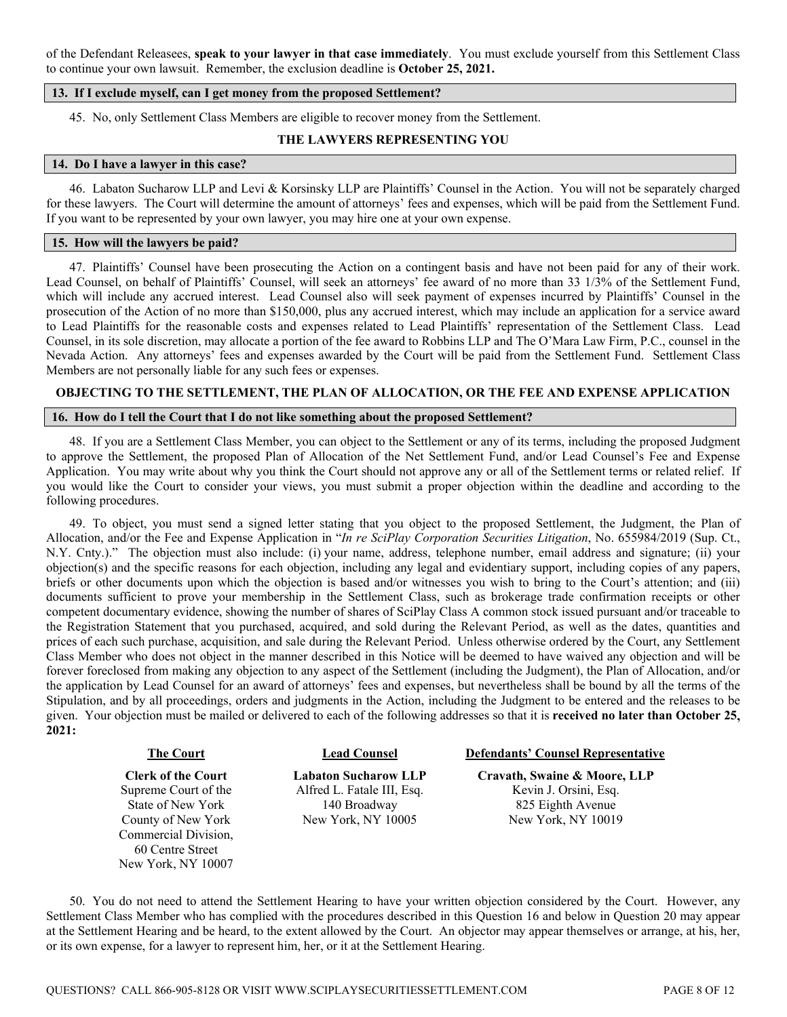of the Defendant Releasees, **speak to your lawyer in that case immediately**. You must exclude yourself from this Settlement Class to continue your own lawsuit. Remember, the exclusion deadline is **October 25, 2021.** 

## **13. If I exclude myself, can I get money from the proposed Settlement?**

45. No, only Settlement Class Members are eligible to recover money from the Settlement.

# **THE LAWYERS REPRESENTING YOU**

# **14. Do I have a lawyer in this case?**

46. Labaton Sucharow LLP and Levi & Korsinsky LLP are Plaintiffs' Counsel in the Action. You will not be separately charged for these lawyers. The Court will determine the amount of attorneys' fees and expenses, which will be paid from the Settlement Fund. If you want to be represented by your own lawyer, you may hire one at your own expense.

## **15. How will the lawyers be paid?**

47. Plaintiffs' Counsel have been prosecuting the Action on a contingent basis and have not been paid for any of their work. Lead Counsel, on behalf of Plaintiffs' Counsel, will seek an attorneys' fee award of no more than 33 1/3% of the Settlement Fund, which will include any accrued interest. Lead Counsel also will seek payment of expenses incurred by Plaintiffs' Counsel in the prosecution of the Action of no more than \$150,000, plus any accrued interest, which may include an application for a service award to Lead Plaintiffs for the reasonable costs and expenses related to Lead Plaintiffs' representation of the Settlement Class. Lead Counsel, in its sole discretion, may allocate a portion of the fee award to Robbins LLP and The O'Mara Law Firm, P.C., counsel in the Nevada Action. Any attorneys' fees and expenses awarded by the Court will be paid from the Settlement Fund. Settlement Class Members are not personally liable for any such fees or expenses.

# **OBJECTING TO THE SETTLEMENT, THE PLAN OF ALLOCATION, OR THE FEE AND EXPENSE APPLICATION**

# **16. How do I tell the Court that I do not like something about the proposed Settlement?**

48. If you are a Settlement Class Member, you can object to the Settlement or any of its terms, including the proposed Judgment to approve the Settlement, the proposed Plan of Allocation of the Net Settlement Fund, and/or Lead Counsel's Fee and Expense Application. You may write about why you think the Court should not approve any or all of the Settlement terms or related relief. If you would like the Court to consider your views, you must submit a proper objection within the deadline and according to the following procedures.

49. To object, you must send a signed letter stating that you object to the proposed Settlement, the Judgment, the Plan of Allocation, and/or the Fee and Expense Application in "*In re SciPlay Corporation Securities Litigation*, No. 655984/2019 (Sup. Ct., N.Y. Cnty.)." The objection must also include: (i) your name, address, telephone number, email address and signature; (ii) your objection(s) and the specific reasons for each objection, including any legal and evidentiary support, including copies of any papers, briefs or other documents upon which the objection is based and/or witnesses you wish to bring to the Court's attention; and (iii) documents sufficient to prove your membership in the Settlement Class, such as brokerage trade confirmation receipts or other competent documentary evidence, showing the number of shares of SciPlay Class A common stock issued pursuant and/or traceable to the Registration Statement that you purchased, acquired, and sold during the Relevant Period, as well as the dates, quantities and prices of each such purchase, acquisition, and sale during the Relevant Period. Unless otherwise ordered by the Court, any Settlement Class Member who does not object in the manner described in this Notice will be deemed to have waived any objection and will be forever foreclosed from making any objection to any aspect of the Settlement (including the Judgment), the Plan of Allocation, and/or the application by Lead Counsel for an award of attorneys' fees and expenses, but nevertheless shall be bound by all the terms of the Stipulation, and by all proceedings, orders and judgments in the Action, including the Judgment to be entered and the releases to be given. Your objection must be mailed or delivered to each of the following addresses so that it is **received no later than October 25, 2021:** 

**Clerk of the Court**  Supreme Court of the State of New York County of New York Commercial Division, 60 Centre Street New York, NY 10007

**Labaton Sucharow LLP**  Alfred L. Fatale III, Esq. 140 Broadway New York, NY 10005

**The Court Lead Counsel Defendants' Counsel Representative**

**Cravath, Swaine & Moore, LLP** Kevin J. Orsini, Esq. 825 Eighth Avenue New York, NY 10019

50. You do not need to attend the Settlement Hearing to have your written objection considered by the Court. However, any Settlement Class Member who has complied with the procedures described in this Question 16 and below in Question 20 may appear at the Settlement Hearing and be heard, to the extent allowed by the Court. An objector may appear themselves or arrange, at his, her, or its own expense, for a lawyer to represent him, her, or it at the Settlement Hearing.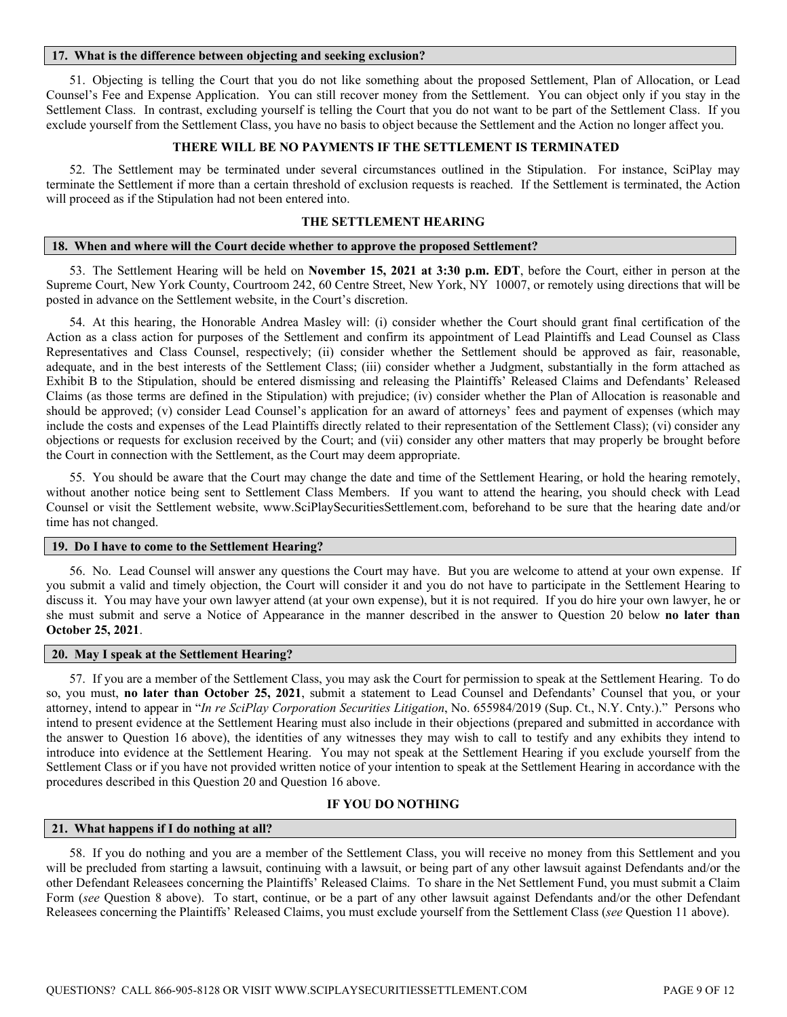#### **17. What is the difference between objecting and seeking exclusion?**

51. Objecting is telling the Court that you do not like something about the proposed Settlement, Plan of Allocation, or Lead Counsel's Fee and Expense Application. You can still recover money from the Settlement. You can object only if you stay in the Settlement Class. In contrast, excluding yourself is telling the Court that you do not want to be part of the Settlement Class. If you exclude yourself from the Settlement Class, you have no basis to object because the Settlement and the Action no longer affect you.

## **THERE WILL BE NO PAYMENTS IF THE SETTLEMENT IS TERMINATED**

52. The Settlement may be terminated under several circumstances outlined in the Stipulation. For instance, SciPlay may terminate the Settlement if more than a certain threshold of exclusion requests is reached. If the Settlement is terminated, the Action will proceed as if the Stipulation had not been entered into.

# **THE SETTLEMENT HEARING**

#### **18. When and where will the Court decide whether to approve the proposed Settlement?**

53. The Settlement Hearing will be held on **November 15, 2021 at 3:30 p.m. EDT**, before the Court, either in person at the Supreme Court, New York County, Courtroom 242, 60 Centre Street, New York, NY 10007, or remotely using directions that will be posted in advance on the Settlement website, in the Court's discretion.

54. At this hearing, the Honorable Andrea Masley will: (i) consider whether the Court should grant final certification of the Action as a class action for purposes of the Settlement and confirm its appointment of Lead Plaintiffs and Lead Counsel as Class Representatives and Class Counsel, respectively; (ii) consider whether the Settlement should be approved as fair, reasonable, adequate, and in the best interests of the Settlement Class; (iii) consider whether a Judgment, substantially in the form attached as Exhibit B to the Stipulation, should be entered dismissing and releasing the Plaintiffs' Released Claims and Defendants' Released Claims (as those terms are defined in the Stipulation) with prejudice; (iv) consider whether the Plan of Allocation is reasonable and should be approved; (v) consider Lead Counsel's application for an award of attorneys' fees and payment of expenses (which may include the costs and expenses of the Lead Plaintiffs directly related to their representation of the Settlement Class); (vi) consider any objections or requests for exclusion received by the Court; and (vii) consider any other matters that may properly be brought before the Court in connection with the Settlement, as the Court may deem appropriate.

55. You should be aware that the Court may change the date and time of the Settlement Hearing, or hold the hearing remotely, without another notice being sent to Settlement Class Members. If you want to attend the hearing, you should check with Lead Counsel or visit the Settlement website, www.SciPlaySecuritiesSettlement.com, beforehand to be sure that the hearing date and/or time has not changed.

#### **19. Do I have to come to the Settlement Hearing?**

56. No. Lead Counsel will answer any questions the Court may have. But you are welcome to attend at your own expense. If you submit a valid and timely objection, the Court will consider it and you do not have to participate in the Settlement Hearing to discuss it. You may have your own lawyer attend (at your own expense), but it is not required. If you do hire your own lawyer, he or she must submit and serve a Notice of Appearance in the manner described in the answer to Question 20 below **no later than October 25, 2021**.

#### **20. May I speak at the Settlement Hearing?**

57. If you are a member of the Settlement Class, you may ask the Court for permission to speak at the Settlement Hearing. To do so, you must, **no later than October 25, 2021**, submit a statement to Lead Counsel and Defendants' Counsel that you, or your attorney, intend to appear in "*In re SciPlay Corporation Securities Litigation*, No. 655984/2019 (Sup. Ct., N.Y. Cnty.)." Persons who intend to present evidence at the Settlement Hearing must also include in their objections (prepared and submitted in accordance with the answer to Question 16 above), the identities of any witnesses they may wish to call to testify and any exhibits they intend to introduce into evidence at the Settlement Hearing. You may not speak at the Settlement Hearing if you exclude yourself from the Settlement Class or if you have not provided written notice of your intention to speak at the Settlement Hearing in accordance with the procedures described in this Question 20 and Question 16 above.

# **IF YOU DO NOTHING**

#### **21. What happens if I do nothing at all?**

58. If you do nothing and you are a member of the Settlement Class, you will receive no money from this Settlement and you will be precluded from starting a lawsuit, continuing with a lawsuit, or being part of any other lawsuit against Defendants and/or the other Defendant Releasees concerning the Plaintiffs' Released Claims. To share in the Net Settlement Fund, you must submit a Claim Form (*see* Question 8 above). To start, continue, or be a part of any other lawsuit against Defendants and/or the other Defendant Releasees concerning the Plaintiffs' Released Claims, you must exclude yourself from the Settlement Class (*see* Question 11 above).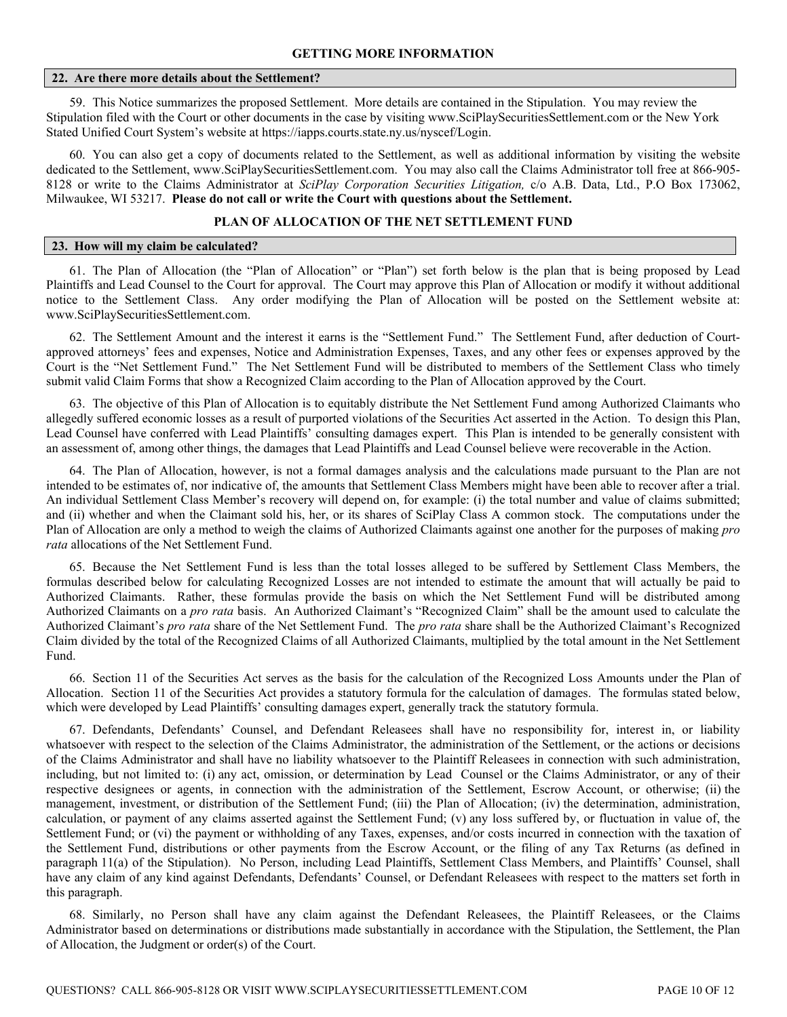#### **22. Are there more details about the Settlement?**

59. This Notice summarizes the proposed Settlement. More details are contained in the Stipulation. You may review the Stipulation filed with the Court or other documents in the case by visiting www.SciPlaySecuritiesSettlement.com or the New York Stated Unified Court System's website at https://iapps.courts.state.ny.us/nyscef/Login.

60. You can also get a copy of documents related to the Settlement, as well as additional information by visiting the website dedicated to the Settlement, www.SciPlaySecuritiesSettlement.com. You may also call the Claims Administrator toll free at 866-905- 8128 or write to the Claims Administrator at *SciPlay Corporation Securities Litigation,* c/o A.B. Data, Ltd., P.O Box 173062, Milwaukee, WI 53217. **Please do not call or write the Court with questions about the Settlement.**

## **PLAN OF ALLOCATION OF THE NET SETTLEMENT FUND**

# **23. How will my claim be calculated?**

61. The Plan of Allocation (the "Plan of Allocation" or "Plan") set forth below is the plan that is being proposed by Lead Plaintiffs and Lead Counsel to the Court for approval. The Court may approve this Plan of Allocation or modify it without additional notice to the Settlement Class. Any order modifying the Plan of Allocation will be posted on the Settlement website at: www.SciPlaySecuritiesSettlement.com.

62. The Settlement Amount and the interest it earns is the "Settlement Fund." The Settlement Fund, after deduction of Courtapproved attorneys' fees and expenses, Notice and Administration Expenses, Taxes, and any other fees or expenses approved by the Court is the "Net Settlement Fund." The Net Settlement Fund will be distributed to members of the Settlement Class who timely submit valid Claim Forms that show a Recognized Claim according to the Plan of Allocation approved by the Court.

63. The objective of this Plan of Allocation is to equitably distribute the Net Settlement Fund among Authorized Claimants who allegedly suffered economic losses as a result of purported violations of the Securities Act asserted in the Action. To design this Plan, Lead Counsel have conferred with Lead Plaintiffs' consulting damages expert. This Plan is intended to be generally consistent with an assessment of, among other things, the damages that Lead Plaintiffs and Lead Counsel believe were recoverable in the Action.

64. The Plan of Allocation, however, is not a formal damages analysis and the calculations made pursuant to the Plan are not intended to be estimates of, nor indicative of, the amounts that Settlement Class Members might have been able to recover after a trial. An individual Settlement Class Member's recovery will depend on, for example: (i) the total number and value of claims submitted; and (ii) whether and when the Claimant sold his, her, or its shares of SciPlay Class A common stock. The computations under the Plan of Allocation are only a method to weigh the claims of Authorized Claimants against one another for the purposes of making *pro rata* allocations of the Net Settlement Fund.

65. Because the Net Settlement Fund is less than the total losses alleged to be suffered by Settlement Class Members, the formulas described below for calculating Recognized Losses are not intended to estimate the amount that will actually be paid to Authorized Claimants. Rather, these formulas provide the basis on which the Net Settlement Fund will be distributed among Authorized Claimants on a *pro rata* basis. An Authorized Claimant's "Recognized Claim" shall be the amount used to calculate the Authorized Claimant's *pro rata* share of the Net Settlement Fund. The *pro rata* share shall be the Authorized Claimant's Recognized Claim divided by the total of the Recognized Claims of all Authorized Claimants, multiplied by the total amount in the Net Settlement Fund.

66. Section 11 of the Securities Act serves as the basis for the calculation of the Recognized Loss Amounts under the Plan of Allocation. Section 11 of the Securities Act provides a statutory formula for the calculation of damages. The formulas stated below, which were developed by Lead Plaintiffs' consulting damages expert, generally track the statutory formula.

67. Defendants, Defendants' Counsel, and Defendant Releasees shall have no responsibility for, interest in, or liability whatsoever with respect to the selection of the Claims Administrator, the administration of the Settlement, or the actions or decisions of the Claims Administrator and shall have no liability whatsoever to the Plaintiff Releasees in connection with such administration, including, but not limited to: (i) any act, omission, or determination by Lead Counsel or the Claims Administrator, or any of their respective designees or agents, in connection with the administration of the Settlement, Escrow Account, or otherwise; (ii) the management, investment, or distribution of the Settlement Fund; (iii) the Plan of Allocation; (iv) the determination, administration, calculation, or payment of any claims asserted against the Settlement Fund; (v) any loss suffered by, or fluctuation in value of, the Settlement Fund; or (vi) the payment or withholding of any Taxes, expenses, and/or costs incurred in connection with the taxation of the Settlement Fund, distributions or other payments from the Escrow Account, or the filing of any Tax Returns (as defined in paragraph 11(a) of the Stipulation). No Person, including Lead Plaintiffs, Settlement Class Members, and Plaintiffs' Counsel, shall have any claim of any kind against Defendants, Defendants' Counsel, or Defendant Releasees with respect to the matters set forth in this paragraph.

68. Similarly, no Person shall have any claim against the Defendant Releasees, the Plaintiff Releasees, or the Claims Administrator based on determinations or distributions made substantially in accordance with the Stipulation, the Settlement, the Plan of Allocation, the Judgment or order(s) of the Court.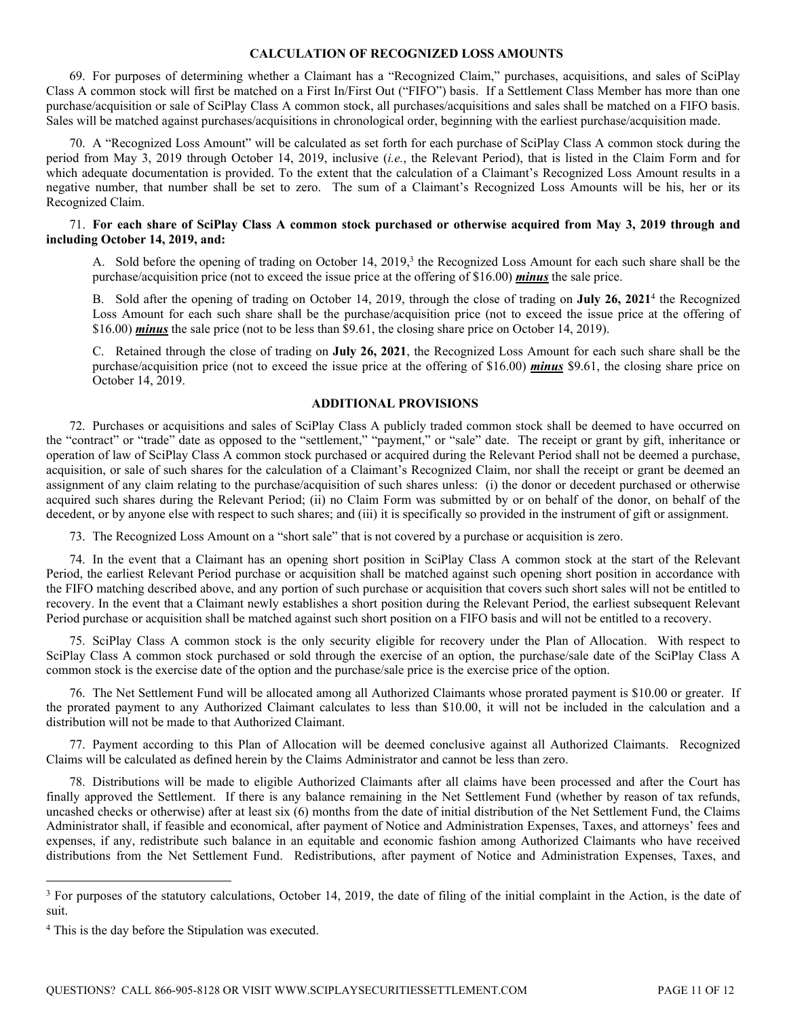## **CALCULATION OF RECOGNIZED LOSS AMOUNTS**

69. For purposes of determining whether a Claimant has a "Recognized Claim," purchases, acquisitions, and sales of SciPlay Class A common stock will first be matched on a First In/First Out ("FIFO") basis. If a Settlement Class Member has more than one purchase/acquisition or sale of SciPlay Class A common stock, all purchases/acquisitions and sales shall be matched on a FIFO basis. Sales will be matched against purchases/acquisitions in chronological order, beginning with the earliest purchase/acquisition made.

70. A "Recognized Loss Amount" will be calculated as set forth for each purchase of SciPlay Class A common stock during the period from May 3, 2019 through October 14, 2019, inclusive (*i.e.*, the Relevant Period), that is listed in the Claim Form and for which adequate documentation is provided. To the extent that the calculation of a Claimant's Recognized Loss Amount results in a negative number, that number shall be set to zero. The sum of a Claimant's Recognized Loss Amounts will be his, her or its Recognized Claim.

# 71. **For each share of SciPlay Class A common stock purchased or otherwise acquired from May 3, 2019 through and including October 14, 2019, and:**

A. Sold before the opening of trading on October 14, 2019,<sup>3</sup> the Recognized Loss Amount for each such share shall be the purchase/acquisition price (not to exceed the issue price at the offering of \$16.00) *minus* the sale price.

B. Sold after the opening of trading on October 14, 2019, through the close of trading on **July 26, 2021**<sup>4</sup> the Recognized Loss Amount for each such share shall be the purchase/acquisition price (not to exceed the issue price at the offering of \$16.00) *minus* the sale price (not to be less than \$9.61, the closing share price on October 14, 2019).

C. Retained through the close of trading on **July 26, 2021**, the Recognized Loss Amount for each such share shall be the purchase/acquisition price (not to exceed the issue price at the offering of \$16.00) *minus* \$9.61, the closing share price on October 14, 2019.

# **ADDITIONAL PROVISIONS**

72. Purchases or acquisitions and sales of SciPlay Class A publicly traded common stock shall be deemed to have occurred on the "contract" or "trade" date as opposed to the "settlement," "payment," or "sale" date. The receipt or grant by gift, inheritance or operation of law of SciPlay Class A common stock purchased or acquired during the Relevant Period shall not be deemed a purchase, acquisition, or sale of such shares for the calculation of a Claimant's Recognized Claim, nor shall the receipt or grant be deemed an assignment of any claim relating to the purchase/acquisition of such shares unless: (i) the donor or decedent purchased or otherwise acquired such shares during the Relevant Period; (ii) no Claim Form was submitted by or on behalf of the donor, on behalf of the decedent, or by anyone else with respect to such shares; and (iii) it is specifically so provided in the instrument of gift or assignment.

73. The Recognized Loss Amount on a "short sale" that is not covered by a purchase or acquisition is zero.

74. In the event that a Claimant has an opening short position in SciPlay Class A common stock at the start of the Relevant Period, the earliest Relevant Period purchase or acquisition shall be matched against such opening short position in accordance with the FIFO matching described above, and any portion of such purchase or acquisition that covers such short sales will not be entitled to recovery. In the event that a Claimant newly establishes a short position during the Relevant Period, the earliest subsequent Relevant Period purchase or acquisition shall be matched against such short position on a FIFO basis and will not be entitled to a recovery.

75. SciPlay Class A common stock is the only security eligible for recovery under the Plan of Allocation. With respect to SciPlay Class A common stock purchased or sold through the exercise of an option, the purchase/sale date of the SciPlay Class A common stock is the exercise date of the option and the purchase/sale price is the exercise price of the option.

76. The Net Settlement Fund will be allocated among all Authorized Claimants whose prorated payment is \$10.00 or greater. If the prorated payment to any Authorized Claimant calculates to less than \$10.00, it will not be included in the calculation and a distribution will not be made to that Authorized Claimant.

77. Payment according to this Plan of Allocation will be deemed conclusive against all Authorized Claimants. Recognized Claims will be calculated as defined herein by the Claims Administrator and cannot be less than zero.

78. Distributions will be made to eligible Authorized Claimants after all claims have been processed and after the Court has finally approved the Settlement. If there is any balance remaining in the Net Settlement Fund (whether by reason of tax refunds, uncashed checks or otherwise) after at least six (6) months from the date of initial distribution of the Net Settlement Fund, the Claims Administrator shall, if feasible and economical, after payment of Notice and Administration Expenses, Taxes, and attorneys' fees and expenses, if any, redistribute such balance in an equitable and economic fashion among Authorized Claimants who have received distributions from the Net Settlement Fund. Redistributions, after payment of Notice and Administration Expenses, Taxes, and

<sup>&</sup>lt;sup>3</sup> For purposes of the statutory calculations, October 14, 2019, the date of filing of the initial complaint in the Action, is the date of suit.

<sup>&</sup>lt;sup>4</sup> This is the day before the Stipulation was executed.